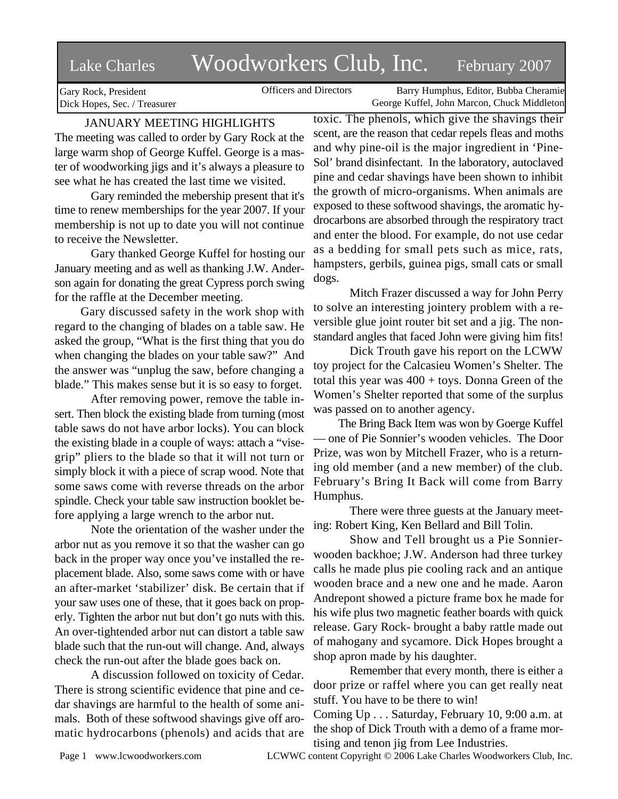# Lake Charles Woodworkers Club, Inc. February 2007

Officers and Directors Barry Humphus, Editor, Bubba Cheramie George Kuffel, John Marcon, Chuck Middleton

Gary Rock, President Dick Hopes, Sec. / Treasurer

# JANUARY MEETING HIGHLIGHTS

The meeting was called to order by Gary Rock at the large warm shop of George Kuffel. George is a master of woodworking jigs and it's always a pleasure to see what he has created the last time we visited.

Gary reminded the mebership present that it's time to renew memberships for the year 2007. If your membership is not up to date you will not continue to receive the Newsletter.

Gary thanked George Kuffel for hosting our January meeting and as well as thanking J.W. Anderson again for donating the great Cypress porch swing for the raffle at the December meeting.

 Gary discussed safety in the work shop with regard to the changing of blades on a table saw. He asked the group, "What is the first thing that you do when changing the blades on your table saw?" And the answer was "unplug the saw, before changing a blade." This makes sense but it is so easy to forget.

After removing power, remove the table insert. Then block the existing blade from turning (most table saws do not have arbor locks). You can block the existing blade in a couple of ways: attach a "visegrip" pliers to the blade so that it will not turn or simply block it with a piece of scrap wood. Note that some saws come with reverse threads on the arbor spindle. Check your table saw instruction booklet before applying a large wrench to the arbor nut.

Note the orientation of the washer under the arbor nut as you remove it so that the washer can go back in the proper way once you've installed the replacement blade. Also, some saws come with or have an after-market 'stabilizer' disk. Be certain that if your saw uses one of these, that it goes back on properly. Tighten the arbor nut but don't go nuts with this. An over-tightended arbor nut can distort a table saw blade such that the run-out will change. And, always check the run-out after the blade goes back on.

A discussion followed on toxicity of Cedar. There is strong scientific evidence that pine and cedar shavings are harmful to the health of some animals. Both of these softwood shavings give off aromatic hydrocarbons (phenols) and acids that are toxic. The phenols, which give the shavings their scent, are the reason that cedar repels fleas and moths and why pine-oil is the major ingredient in 'Pine-Sol' brand disinfectant. In the laboratory, autoclaved pine and cedar shavings have been shown to inhibit the growth of micro-organisms. When animals are exposed to these softwood shavings, the aromatic hydrocarbons are absorbed through the respiratory tract and enter the blood. For example, do not use cedar as a bedding for small pets such as mice, rats, hampsters, gerbils, guinea pigs, small cats or small dogs.

Mitch Frazer discussed a way for John Perry to solve an interesting jointery problem with a reversible glue joint router bit set and a jig. The nonstandard angles that faced John were giving him fits!

Dick Trouth gave his report on the LCWW toy project for the Calcasieu Women's Shelter. The total this year was  $400 + \text{toys}$ . Donna Green of the Women's Shelter reported that some of the surplus was passed on to another agency.

 The Bring Back Item was won by Goerge Kuffel — one of Pie Sonnier's wooden vehicles. The Door Prize, was won by Mitchell Frazer, who is a returning old member (and a new member) of the club. February's Bring It Back will come from Barry Humphus.

There were three guests at the January meeting: Robert King, Ken Bellard and Bill Tolin.

Show and Tell brought us a Pie Sonnierwooden backhoe; J.W. Anderson had three turkey calls he made plus pie cooling rack and an antique wooden brace and a new one and he made. Aaron Andrepont showed a picture frame box he made for his wife plus two magnetic feather boards with quick release. Gary Rock- brought a baby rattle made out of mahogany and sycamore. Dick Hopes brought a shop apron made by his daughter.

Remember that every month, there is either a door prize or raffel where you can get really neat stuff. You have to be there to win!

Coming Up . . . Saturday, February 10, 9:00 a.m. at the shop of Dick Trouth with a demo of a frame mortising and tenon jig from Lee Industries.

Page 1 www.lcwoodworkers.com LCWWC content Copyright © 2006 Lake Charles Woodworkers Club, Inc.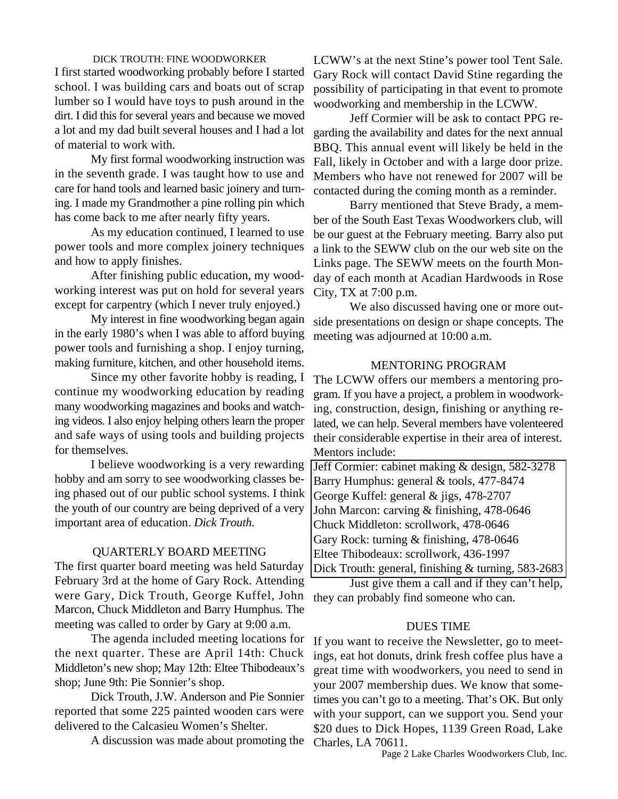#### DICK TROUTH: FINE WOODWORKER

I first started woodworking probably before I started school. I was building cars and boats out of scrap lumber so I would have toys to push around in the dirt. I did this for several years and because we moved a lot and my dad built several houses and I had a lot of material to work with.

My first formal woodworking instruction was in the seventh grade. I was taught how to use and care for hand tools and learned basic joinery and turning. I made my Grandmother a pine rolling pin which has come back to me after nearly fifty years.

As my education continued, I learned to use power tools and more complex joinery techniques and how to apply finishes.

After finishing public education, my woodworking interest was put on hold for several years except for carpentry (which I never truly enjoyed.)

My interest in fine woodworking began again in the early 1980's when I was able to afford buying power tools and furnishing a shop. I enjoy turning, making furniture, kitchen, and other household items.

Since my other favorite hobby is reading, I continue my woodworking education by reading many woodworking magazines and books and watching videos. I also enjoy helping others learn the proper and safe ways of using tools and building projects for themselves.

I believe woodworking is a very rewarding hobby and am sorry to see woodworking classes being phased out of our public school systems. I think the youth of our country are being deprived of a very important area of education. *Dick Trouth.*

## QUARTERLY BOARD MEETING

The first quarter board meeting was held Saturday February 3rd at the home of Gary Rock. Attending were Gary, Dick Trouth, George Kuffel, John Marcon, Chuck Middleton and Barry Humphus. The meeting was called to order by Gary at 9:00 a.m.

The agenda included meeting locations for the next quarter. These are April 14th: Chuck Middleton's new shop; May 12th: Eltee Thibodeaux's shop; June 9th: Pie Sonnier's shop.

Dick Trouth, J.W. Anderson and Pie Sonnier reported that some 225 painted wooden cars were delivered to the Calcasieu Women's Shelter.

A discussion was made about promoting the

LCWW's at the next Stine's power tool Tent Sale. Gary Rock will contact David Stine regarding the possibility of participating in that event to promote woodworking and membership in the LCWW.

Jeff Cormier will be ask to contact PPG regarding the availability and dates for the next annual BBQ. This annual event will likely be held in the Fall, likely in October and with a large door prize. Members who have not renewed for 2007 will be contacted during the coming month as a reminder.

Barry mentioned that Steve Brady, a member of the South East Texas Woodworkers club, will be our guest at the February meeting. Barry also put a link to the SEWW club on the our web site on the Links page. The SEWW meets on the fourth Monday of each month at Acadian Hardwoods in Rose City, TX at 7:00 p.m.

We also discussed having one or more outside presentations on design or shape concepts. The meeting was adjourned at 10:00 a.m.

### MENTORING PROGRAM

The LCWW offers our members a mentoring program. If you have a project, a problem in woodworking, construction, design, finishing or anything related, we can help. Several members have volenteered their considerable expertise in their area of interest. Mentors include:

Jeff Cormier: cabinet making & design, 582-3278 Barry Humphus: general & tools, 477-8474 George Kuffel: general & jigs, 478-2707 John Marcon: carving & finishing, 478-0646 Chuck Middleton: scrollwork, 478-0646 Gary Rock: turning & finishing, 478-0646 Eltee Thibodeaux: scrollwork, 436-1997 Dick Trouth: general, finishing & turning, 583-2683

Just give them a call and if they can't help, they can probably find someone who can.

# DUES TIME

If you want to receive the Newsletter, go to meetings, eat hot donuts, drink fresh coffee plus have a great time with woodworkers, you need to send in your 2007 membership dues. We know that sometimes you can't go to a meeting. That's OK. But only with your support, can we support you. Send your \$20 dues to Dick Hopes, 1139 Green Road, Lake Charles, LA 70611.

Page 2 Lake Charles Woodworkers Club, Inc.